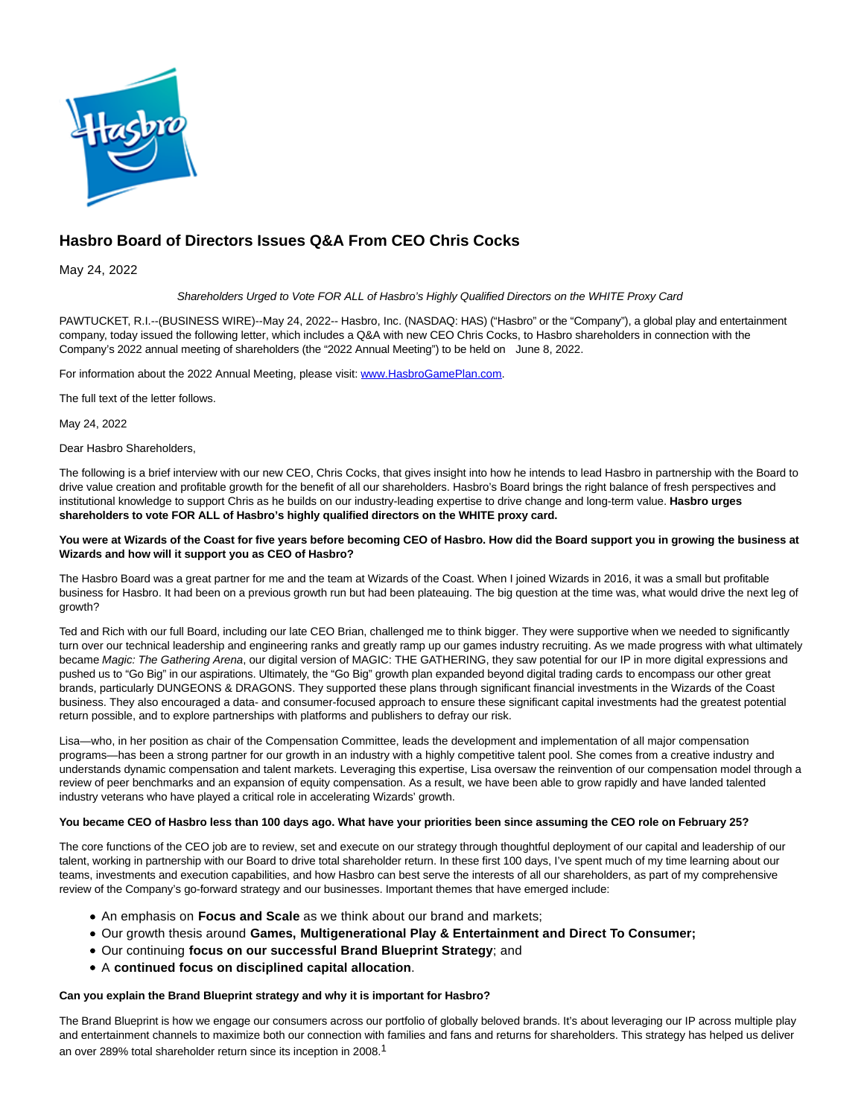

# **Hasbro Board of Directors Issues Q&A From CEO Chris Cocks**

May 24, 2022

## Shareholders Urged to Vote FOR ALL of Hasbro's Highly Qualified Directors on the WHITE Proxy Card

PAWTUCKET, R.I.--(BUSINESS WIRE)--May 24, 2022-- Hasbro, Inc. (NASDAQ: HAS) ("Hasbro" or the "Company"), a global play and entertainment company, today issued the following letter, which includes a Q&A with new CEO Chris Cocks, to Hasbro shareholders in connection with the Company's 2022 annual meeting of shareholders (the "2022 Annual Meeting") to be held on June 8, 2022.

For information about the 2022 Annual Meeting, please visit: [www.HasbroGamePlan.com.](https://cts.businesswire.com/ct/CT?id=smartlink&url=http%3A%2F%2Fwww.HasbroGamePlan.com&esheet=52728962&newsitemid=20220523006063&lan=en-US&anchor=www.HasbroGamePlan.com&index=1&md5=528afad0b8f115a322a665fe2151f72b)

The full text of the letter follows.

May 24, 2022

Dear Hasbro Shareholders,

The following is a brief interview with our new CEO, Chris Cocks, that gives insight into how he intends to lead Hasbro in partnership with the Board to drive value creation and profitable growth for the benefit of all our shareholders. Hasbro's Board brings the right balance of fresh perspectives and institutional knowledge to support Chris as he builds on our industry-leading expertise to drive change and long-term value. **Hasbro urges shareholders to vote FOR ALL of Hasbro's highly qualified directors on the WHITE proxy card.**

#### **You were at Wizards of the Coast for five years before becoming CEO of Hasbro. How did the Board support you in growing the business at Wizards and how will it support you as CEO of Hasbro?**

The Hasbro Board was a great partner for me and the team at Wizards of the Coast. When I joined Wizards in 2016, it was a small but profitable business for Hasbro. It had been on a previous growth run but had been plateauing. The big question at the time was, what would drive the next leg of growth?

Ted and Rich with our full Board, including our late CEO Brian, challenged me to think bigger. They were supportive when we needed to significantly turn over our technical leadership and engineering ranks and greatly ramp up our games industry recruiting. As we made progress with what ultimately became Magic: The Gathering Arena, our digital version of MAGIC: THE GATHERING, they saw potential for our IP in more digital expressions and pushed us to "Go Big" in our aspirations. Ultimately, the "Go Big" growth plan expanded beyond digital trading cards to encompass our other great brands, particularly DUNGEONS & DRAGONS. They supported these plans through significant financial investments in the Wizards of the Coast business. They also encouraged a data- and consumer-focused approach to ensure these significant capital investments had the greatest potential return possible, and to explore partnerships with platforms and publishers to defray our risk.

Lisa—who, in her position as chair of the Compensation Committee, leads the development and implementation of all major compensation programs—has been a strong partner for our growth in an industry with a highly competitive talent pool. She comes from a creative industry and understands dynamic compensation and talent markets. Leveraging this expertise, Lisa oversaw the reinvention of our compensation model through a review of peer benchmarks and an expansion of equity compensation. As a result, we have been able to grow rapidly and have landed talented industry veterans who have played a critical role in accelerating Wizards' growth.

#### **You became CEO of Hasbro less than 100 days ago. What have your priorities been since assuming the CEO role on February 25?**

The core functions of the CEO job are to review, set and execute on our strategy through thoughtful deployment of our capital and leadership of our talent, working in partnership with our Board to drive total shareholder return. In these first 100 days, I've spent much of my time learning about our teams, investments and execution capabilities, and how Hasbro can best serve the interests of all our shareholders, as part of my comprehensive review of the Company's go-forward strategy and our businesses. Important themes that have emerged include:

- An emphasis on **Focus and Scale** as we think about our brand and markets;
- Our growth thesis around **Games, Multigenerational Play & Entertainment and Direct To Consumer;**
- Our continuing **focus on our successful Brand Blueprint Strategy**; and
- A **continued focus on disciplined capital allocation**.

## **Can you explain the Brand Blueprint strategy and why it is important for Hasbro?**

The Brand Blueprint is how we engage our consumers across our portfolio of globally beloved brands. It's about leveraging our IP across multiple play and entertainment channels to maximize both our connection with families and fans and returns for shareholders. This strategy has helped us deliver an over 289% total shareholder return since its inception in 2008.1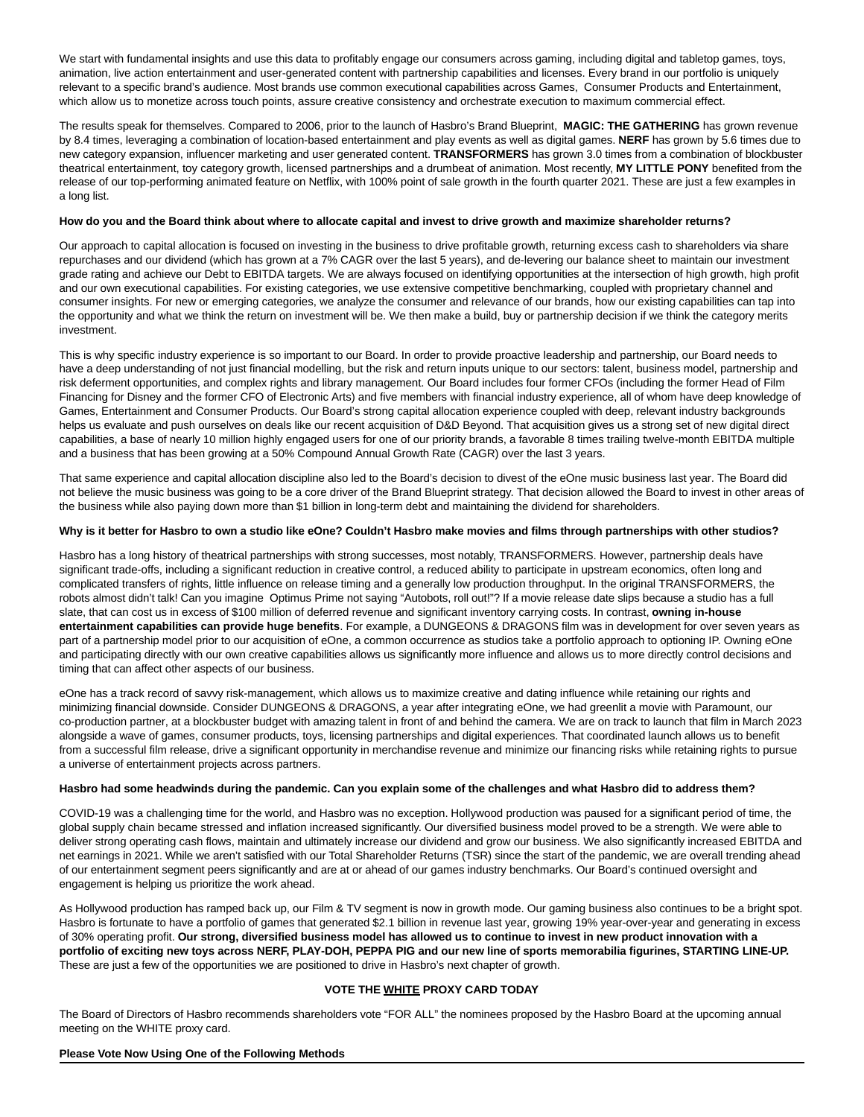We start with fundamental insights and use this data to profitably engage our consumers across gaming, including digital and tabletop games, toys, animation, live action entertainment and user-generated content with partnership capabilities and licenses. Every brand in our portfolio is uniquely relevant to a specific brand's audience. Most brands use common executional capabilities across Games, Consumer Products and Entertainment, which allow us to monetize across touch points, assure creative consistency and orchestrate execution to maximum commercial effect.

The results speak for themselves. Compared to 2006, prior to the launch of Hasbro's Brand Blueprint, **MAGIC: THE GATHERING** has grown revenue by 8.4 times, leveraging a combination of location-based entertainment and play events as well as digital games. **NERF** has grown by 5.6 times due to new category expansion, influencer marketing and user generated content. **TRANSFORMERS** has grown 3.0 times from a combination of blockbuster theatrical entertainment, toy category growth, licensed partnerships and a drumbeat of animation. Most recently, **MY LITTLE PONY** benefited from the release of our top-performing animated feature on Netflix, with 100% point of sale growth in the fourth quarter 2021. These are just a few examples in a long list.

## **How do you and the Board think about where to allocate capital and invest to drive growth and maximize shareholder returns?**

Our approach to capital allocation is focused on investing in the business to drive profitable growth, returning excess cash to shareholders via share repurchases and our dividend (which has grown at a 7% CAGR over the last 5 years), and de-levering our balance sheet to maintain our investment grade rating and achieve our Debt to EBITDA targets. We are always focused on identifying opportunities at the intersection of high growth, high profit and our own executional capabilities. For existing categories, we use extensive competitive benchmarking, coupled with proprietary channel and consumer insights. For new or emerging categories, we analyze the consumer and relevance of our brands, how our existing capabilities can tap into the opportunity and what we think the return on investment will be. We then make a build, buy or partnership decision if we think the category merits investment.

This is why specific industry experience is so important to our Board. In order to provide proactive leadership and partnership, our Board needs to have a deep understanding of not just financial modelling, but the risk and return inputs unique to our sectors: talent, business model, partnership and risk deferment opportunities, and complex rights and library management. Our Board includes four former CFOs (including the former Head of Film Financing for Disney and the former CFO of Electronic Arts) and five members with financial industry experience, all of whom have deep knowledge of Games, Entertainment and Consumer Products. Our Board's strong capital allocation experience coupled with deep, relevant industry backgrounds helps us evaluate and push ourselves on deals like our recent acquisition of D&D Beyond. That acquisition gives us a strong set of new digital direct capabilities, a base of nearly 10 million highly engaged users for one of our priority brands, a favorable 8 times trailing twelve-month EBITDA multiple and a business that has been growing at a 50% Compound Annual Growth Rate (CAGR) over the last 3 years.

That same experience and capital allocation discipline also led to the Board's decision to divest of the eOne music business last year. The Board did not believe the music business was going to be a core driver of the Brand Blueprint strategy. That decision allowed the Board to invest in other areas of the business while also paying down more than \$1 billion in long-term debt and maintaining the dividend for shareholders.

#### **Why is it better for Hasbro to own a studio like eOne? Couldn't Hasbro make movies and films through partnerships with other studios?**

Hasbro has a long history of theatrical partnerships with strong successes, most notably, TRANSFORMERS. However, partnership deals have significant trade-offs, including a significant reduction in creative control, a reduced ability to participate in upstream economics, often long and complicated transfers of rights, little influence on release timing and a generally low production throughput. In the original TRANSFORMERS, the robots almost didn't talk! Can you imagine Optimus Prime not saying "Autobots, roll out!"? If a movie release date slips because a studio has a full slate, that can cost us in excess of \$100 million of deferred revenue and significant inventory carrying costs. In contrast, **owning in-house entertainment capabilities can provide huge benefits**. For example, a DUNGEONS & DRAGONS film was in development for over seven years as part of a partnership model prior to our acquisition of eOne, a common occurrence as studios take a portfolio approach to optioning IP. Owning eOne and participating directly with our own creative capabilities allows us significantly more influence and allows us to more directly control decisions and timing that can affect other aspects of our business.

eOne has a track record of savvy risk-management, which allows us to maximize creative and dating influence while retaining our rights and minimizing financial downside. Consider DUNGEONS & DRAGONS, a year after integrating eOne, we had greenlit a movie with Paramount, our co-production partner, at a blockbuster budget with amazing talent in front of and behind the camera. We are on track to launch that film in March 2023 alongside a wave of games, consumer products, toys, licensing partnerships and digital experiences. That coordinated launch allows us to benefit from a successful film release, drive a significant opportunity in merchandise revenue and minimize our financing risks while retaining rights to pursue a universe of entertainment projects across partners.

#### **Hasbro had some headwinds during the pandemic. Can you explain some of the challenges and what Hasbro did to address them?**

COVID-19 was a challenging time for the world, and Hasbro was no exception. Hollywood production was paused for a significant period of time, the global supply chain became stressed and inflation increased significantly. Our diversified business model proved to be a strength. We were able to deliver strong operating cash flows, maintain and ultimately increase our dividend and grow our business. We also significantly increased EBITDA and net earnings in 2021. While we aren't satisfied with our Total Shareholder Returns (TSR) since the start of the pandemic, we are overall trending ahead of our entertainment segment peers significantly and are at or ahead of our games industry benchmarks. Our Board's continued oversight and engagement is helping us prioritize the work ahead.

As Hollywood production has ramped back up, our Film & TV segment is now in growth mode. Our gaming business also continues to be a bright spot. Hasbro is fortunate to have a portfolio of games that generated \$2.1 billion in revenue last year, growing 19% year-over-year and generating in excess of 30% operating profit. **Our strong, diversified business model has allowed us to continue to invest in new product innovation with a portfolio of exciting new toys across NERF, PLAY-DOH, PEPPA PIG and our new line of sports memorabilia figurines, STARTING LINE-UP.** These are just a few of the opportunities we are positioned to drive in Hasbro's next chapter of growth.

#### **VOTE THE WHITE PROXY CARD TODAY**

The Board of Directors of Hasbro recommends shareholders vote "FOR ALL" the nominees proposed by the Hasbro Board at the upcoming annual meeting on the WHITE proxy card.

#### **Please Vote Now Using One of the Following Methods**